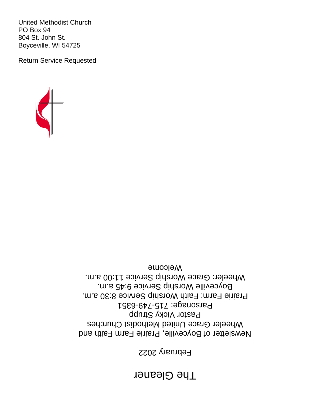# **The Gleaner**

February 2022

Newsletter of Boyceville, Prairie Farm Faith and Wheeler Grace United Methodist Churches Pastor Vicky Strupp Parsonage: 715-749-6351 Prairie Farm: Faith Worship Service 8:30 a.m. Boyceville Worship Service 9:45 a.m. Wheeler: Grace Worship Service 11:00 a.m. Welcome



United Methodist Church PO Box 94 804 St. John St. Boyceville, WI 54725

Return Service Requested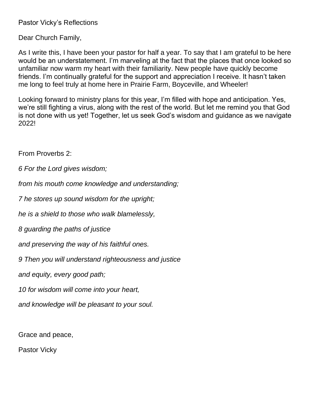Pastor Vicky's Reflections

Dear Church Family,

As I write this, I have been your pastor for half a year. To say that I am grateful to be here would be an understatement. I'm marveling at the fact that the places that once looked so unfamiliar now warm my heart with their familiarity. New people have quickly become friends. I'm continually grateful for the support and appreciation I receive. It hasn't taken me long to feel truly at home here in Prairie Farm, Boyceville, and Wheeler!

Looking forward to ministry plans for this year, I'm filled with hope and anticipation. Yes, we're still fighting a virus, along with the rest of the world. But let me remind you that God is not done with us yet! Together, let us seek God's wisdom and guidance as we navigate 2022!

From Proverbs 2:

*6 For the Lord gives wisdom;*

*from his mouth come knowledge and understanding;*

*7 he stores up sound wisdom for the upright;*

*he is a shield to those who walk blamelessly,*

*8 guarding the paths of justice*

*and preserving the way of his faithful ones.*

*9 Then you will understand righteousness and justice*

*and equity, every good path;*

*10 for wisdom will come into your heart,*

*and knowledge will be pleasant to your soul.*

Grace and peace,

Pastor Vicky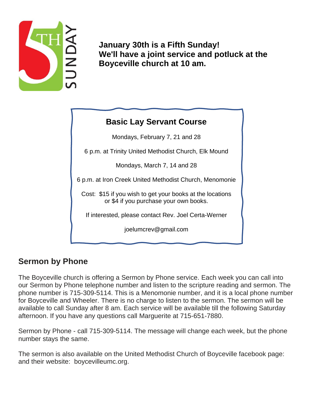

**January 30th is a Fifth Sunday! We'll have a joint service and potluck at the Boyceville church at 10 am.**

# **Basic Lay Servant Course**

Mondays, February 7, 21 and 28

6 p.m. at Trinity United Methodist Church, Elk Mound

Mondays, March 7, 14 and 28

6 p.m. at Iron Creek United Methodist Church, Menomonie

Cost: \$15 if you wish to get your books at the locations or \$4 if you purchase your own books.

If interested, please contact Rev. Joel Certa-Werner

joelumcrev@gmail.com

#### **Sermon by Phone**

The Boyceville church is offering a Sermon by Phone service. Each week you can call into our Sermon by Phone telephone number and listen to the scripture reading and sermon. The phone number is 715-309-5114. This is a Menomonie number, and it is a local phone number for Boyceville and Wheeler. There is no charge to listen to the sermon. The sermon will be available to call Sunday after 8 am. Each service will be available till the following Saturday afternoon. If you have any questions call Marguerite at 715-651-7880.

Sermon by Phone - call 715-309-5114. The message will change each week, but the phone number stays the same.

The sermon is also available on the United Methodist Church of Boyceville facebook page: and their website: boycevilleumc.org.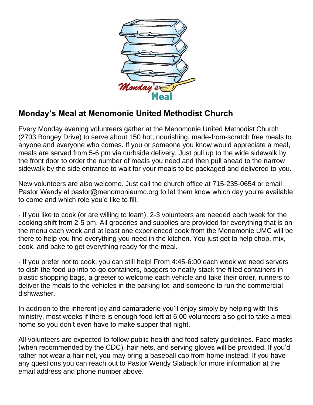

## **Monday's Meal at Menomonie United Methodist Church**

Every Monday evening volunteers gather at the Menomonie United Methodist Church (2703 Bongey Drive) to serve about 150 hot, nourishing, made-from-scratch free meals to anyone and everyone who comes. If you or someone you know would appreciate a meal, meals are served from 5-6 pm via curbside delivery. Just pull up to the wide sidewalk by the front door to order the number of meals you need and then pull ahead to the narrow sidewalk by the side entrance to wait for your meals to be packaged and delivered to you.

New volunteers are also welcome. Just call the church office at 715-235-0654 or email Pastor Wendy at pastor@menomonieumc.org to let them know which day you're available to come and which role you'd like to fill.

· If you like to cook (or are willing to learn), 2-3 volunteers are needed each week for the cooking shift from 2-5 pm. All groceries and supplies are provided for everything that is on the menu each week and at least one experienced cook from the Menomonie UMC will be there to help you find everything you need in the kitchen. You just get to help chop, mix, cook, and bake to get everything ready for the meal.

· If you prefer not to cook, you can still help! From 4:45-6:00 each week we need servers to dish the food up into to-go containers, baggers to neatly stack the filled containers in plastic shopping bags, a greeter to welcome each vehicle and take their order, runners to deliver the meals to the vehicles in the parking lot, and someone to run the commercial dishwasher.

In addition to the inherent joy and camaraderie you'll enjoy simply by helping with this ministry, most weeks if there is enough food left at 6:00 volunteers also get to take a meal home so you don't even have to make supper that night.

All volunteers are expected to follow public health and food safety guidelines. Face masks (when recommended by the CDC), hair nets, and serving gloves will be provided. If you'd rather not wear a hair net, you may bring a baseball cap from home instead. If you have any questions you can reach out to Pastor Wendy Slaback for more information at the email address and phone number above.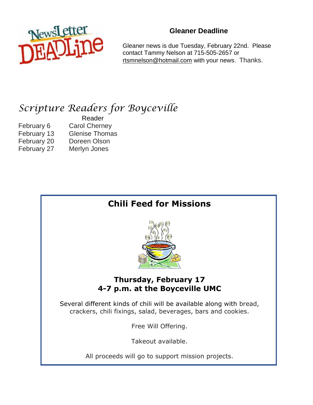

#### **Gleaner Deadline**

Gleaner news is due Tuesday, February 22nd. Please contact Tammy Nelson at 715-505-2657 or [rtsmnelson@hotmail.com](mailto:rtsmnelson@hotmail.com) with your news. Thanks.

# *Scripture Readers for Boyceville*

 Reader February 6 Carol Cherney February 13 Glenise Thomas February 20 Doreen Olson February 27 Merlyn Jones

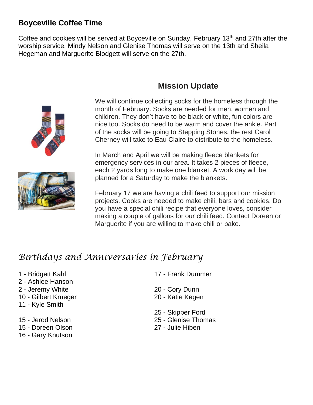### **Boyceville Coffee Time**

Coffee and cookies will be served at Boyceville on Sunday, February 13<sup>th</sup> and 27th after the worship service. Mindy Nelson and Glenise Thomas will serve on the 13th and Sheila Hegeman and Marguerite Blodgett will serve on the 27th.

#### **Mission Update**



We will continue collecting socks for the homeless through the month of February. Socks are needed for men, women and children. They don't have to be black or white, fun colors are nice too. Socks do need to be warm and cover the ankle. Part of the socks will be going to Stepping Stones, the rest Carol Cherney will take to Eau Claire to distribute to the homeless.

In March and April we will be making fleece blankets for emergency services in our area. It takes 2 pieces of fleece, each 2 yards long to make one blanket. A work day will be planned for a Saturday to make the blankets.

February 17 we are having a chili feed to support our mission projects. Cooks are needed to make chili, bars and cookies. Do you have a special chili recipe that everyone loves, consider making a couple of gallons for our chili feed. Contact Doreen or Marguerite if you are willing to make chili or bake.

# *Birthdays and Anniversaries in February*

- 
- 2 Ashlee Hanson
- 2 Jeremy White 20 Cory Dunn
- 10 Gilbert Krueger 20 Katie Kegen
- 11 Kyle Smith
- 15 Jerod Nelson 25 Glenise Thomas
- 15 Doreen Olson 27 Julie Hiben
- 16 Gary Knutson
- 1 Bridgett Kahl 17 Frank Dummer
	-
	-
	- 25 Skipper Ford
	-
	-

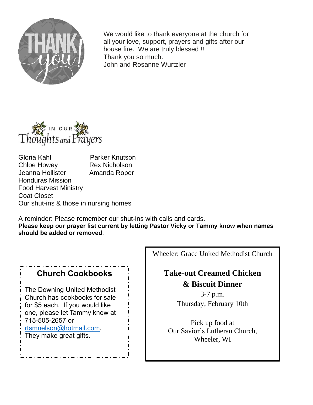

We would like to thank everyone at the church for all your love, support, prayers and gifts after our house fire. We are truly blessed !! Thank you so much. John and Rosanne Wurtzler



Gloria Kahl Parker Knutson Chloe Howey Rex Nicholson Jeanna Hollister Amanda Roper Honduras Mission Food Harvest Ministry Coat Closet Our shut-ins & those in nursing homes

A reminder: Please remember our shut-ins with calls and cards. **Please keep our prayer list current by letting Pastor Vicky or Tammy know when names should be added or removed**.

# **Church Cookbooks**

The Downing United Methodist Church has cookbooks for sale for \$5 each. If you would like one, please let Tammy know at 715-505-2657 or [rtsmnelson@hotmail.com.](mailto:rtsmnelson@hotmail.com) They make great gifts.

Wheeler: Grace United Methodist Church

# **Take-out Creamed Chicken & Biscuit Dinner**

3-7 p.m. Thursday, February 10th

Pick up food at Our Savior's Lutheran Church, Wheeler, WI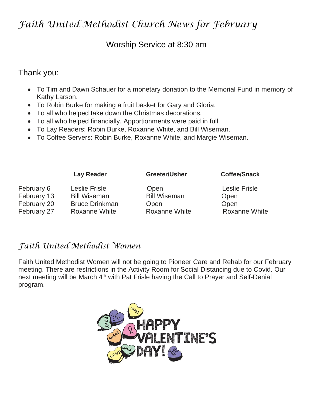# *Faith United Methodist Church News for February*

## Worship Service at 8:30 am

#### Thank you:

- To Tim and Dawn Schauer for a monetary donation to the Memorial Fund in memory of Kathy Larson.
- To Robin Burke for making a fruit basket for Gary and Gloria.
- To all who helped take down the Christmas decorations.
- To all who helped financially. Apportionments were paid in full.
- To Lay Readers: Robin Burke, Roxanne White, and Bill Wiseman.
- To Coffee Servers: Robin Burke, Roxanne White, and Margie Wiseman.

|             | <b>Lay Reader</b>     | Greeter/Usher       | <b>Coffee/Snack</b>  |
|-------------|-----------------------|---------------------|----------------------|
| February 6  | <b>Leslie Frisle</b>  | Open                | <b>Leslie Frisle</b> |
| February 13 | <b>Bill Wiseman</b>   | <b>Bill Wiseman</b> | Open                 |
| February 20 | <b>Bruce Drinkman</b> | Open                | Open                 |
| February 27 | Roxanne White         | Roxanne White       | <b>Roxanne White</b> |

## *Faith United Methodist Women*

Faith United Methodist Women will not be going to Pioneer Care and Rehab for our February meeting. There are restrictions in the Activity Room for Social Distancing due to Covid. Our next meeting will be March 4<sup>th</sup> with Pat Frisle having the Call to Prayer and Self-Denial program.